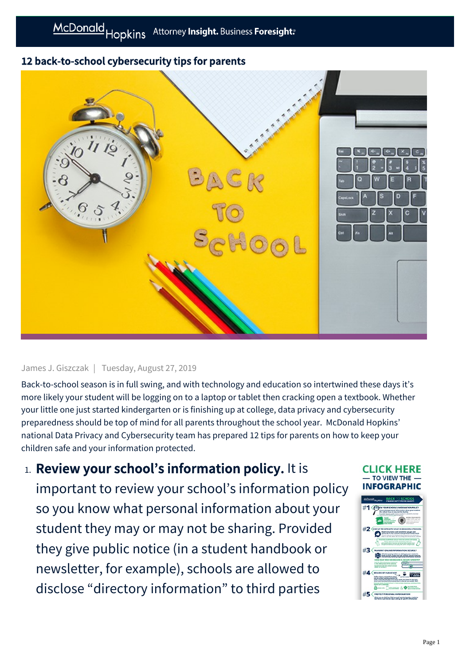## 12 back-to-school cybersecurity tips for parents



## James J. Giszczak | Tuesday, August 27, 2019

Back-to-school season is in full swing, and with technology and education so intertwined these days it's more likely your student will be logging on to a laptop or tablet then cracking open a textbook. Whether your little one just started kindergarten or is finishing up at college, data privacy and cybersecurity preparedness should be top of mind for all parents throughout the school year. McDonald Hopkins' national Data Privacy and Cybersecurity team has prepared 12 tips for parents on how to keep your children safe and your information protected.

1. Review your school's information policy. It is important to review your school's information policy so you know what personal information about your student they may or may not be sharing. Provided they give public notice (in a student handbook or newsletter, for example), schools are allowed to disclose "directory information" to third parties

## **ICK HERE** TO VIEW THE **EOGRAPH**

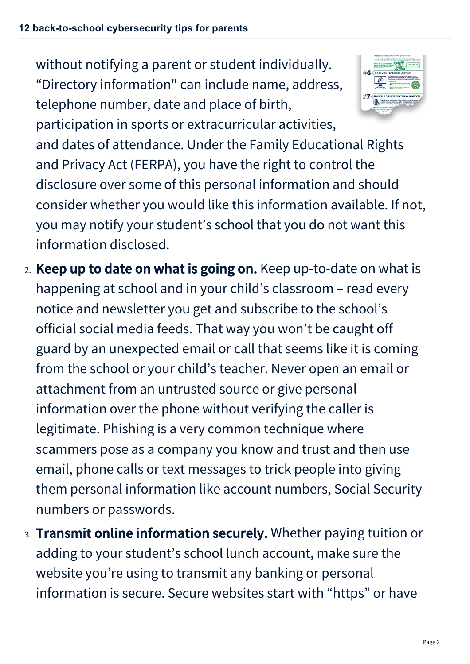without notifying a parent or student individually. "Directory information" can include name, address, telephone number, date and place of birth,



participation in sports or extracurricular activities, and dates of attendance. Under the Family Educational Rights and Privacy Act (FERPA), you have the right to control the disclosure over some of this personal information and should consider whether you would like this information available. If not, you may notify your student's school that you do not want this information disclosed.

- 2. Keep up to date on what is going on. Keep up-to-date on what is happening at school and in your child's classroom – read every notice and newsletter you get and subscribe to the school's official social media feeds. That way you won't be caught off guard by an unexpected email or call that seems like it is coming from the school or your child's teacher. Never open an email or attachment from an untrusted source or give personal information over the phone without verifying the caller is legitimate. Phishing is a very common technique where scammers pose as a company you know and trust and then use email, phone calls or text messages to trick people into giving them personal information like account numbers, Social Security numbers or passwords.
- 3. Transmit online information securely. Whether paying tuition or adding to your student's school lunch account, make sure the website you're using to transmit any banking or personal information is secure. Secure websites start with "https" or have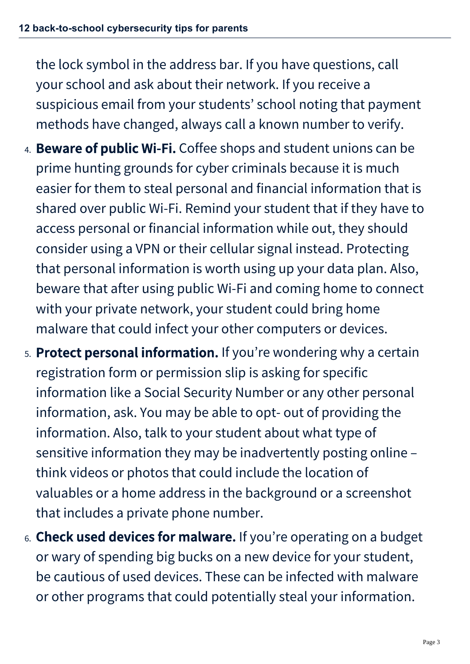the lock symbol in the address bar. If you have questions, call your school and ask about their network. If you receive a suspicious email from your students' school noting that payment methods have changed, always call a known number to verify.

- 4. Beware of public Wi-Fi. Coffee shops and student unions can be prime hunting grounds for cyber criminals because it is much easier for them to steal personal and financial information that is shared over public Wi-Fi. Remind your student that if they have to access personal or financial information while out, they should consider using a VPN or their cellular signal instead. Protecting that personal information is worth using up your data plan. Also, beware that after using public Wi-Fi and coming home to connect with your private network, your student could bring home malware that could infect your other computers or devices.
- 5. Protect personal information. If you're wondering why a certain registration form or permission slip is asking for specific information like a Social Security Number or any other personal information, ask. You may be able to opt- out of providing the information. Also, talk to your student about what type of sensitive information they may be inadvertently posting online – think videos or photos that could include the location of valuables or a home address in the background or a screenshot that includes a private phone number.
- 6. Check used devices for malware. If you're operating on a budget or wary of spending big bucks on a new device for your student, be cautious of used devices. These can be infected with malware or other programs that could potentially steal your information.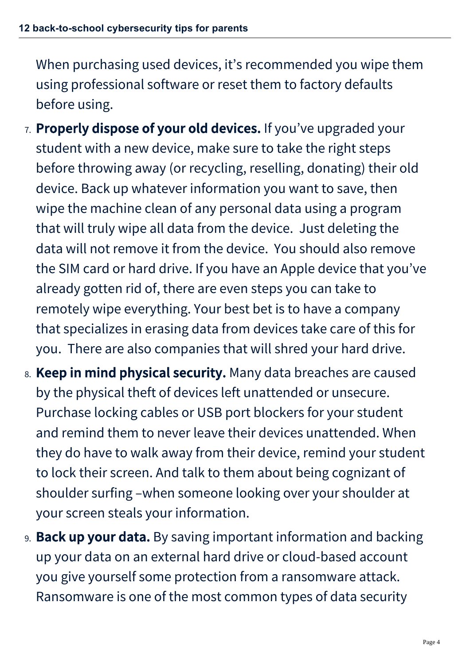When purchasing used devices, it's recommended you wipe them using professional software or reset them to factory defaults before using.

- 7. Properly dispose of your old devices. If you've upgraded your student with a new device, make sure to take the right steps before throwing away (or recycling, reselling, donating) their old device. Back up whatever information you want to save, then wipe the machine clean of any personal data using a program that will truly wipe all data from the device. Just deleting the data will not remove it from the device. You should also remove the SIM card or hard drive. If you have an Apple device that you've already gotten rid of, there are even steps you can take to remotely wipe everything. Your best bet is to have a company that specializes in erasing data from devices take care of this for you. There are also companies that will shred your hard drive.
- 8. Keep in mind physical security. Many data breaches are caused by the physical theft of devices left unattended or unsecure. Purchase locking cables or USB port blockers for your student and remind them to never leave their devices unattended. When they do have to walk away from their device, remind your student to lock their screen. And talk to them about being cognizant of shoulder surfing –when someone looking over your shoulder at your screen steals your information.
- 9. Back up your data. By saving important information and backing up your data on an external hard drive or cloud-based account you give yourself some protection from a ransomware attack. Ransomware is one of the most common types of data security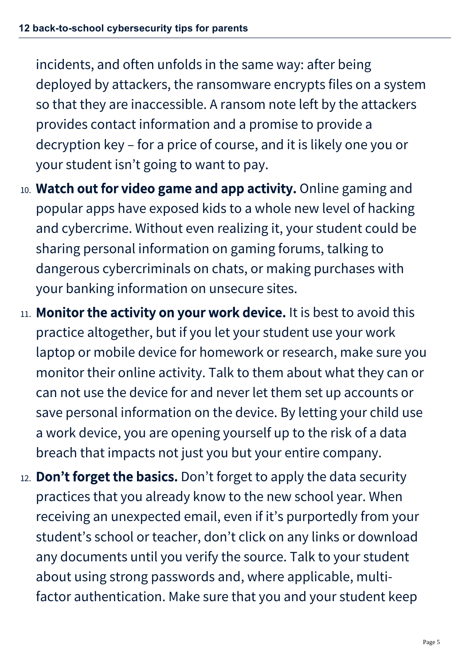incidents, and often unfolds in the same way: after being deployed by attackers, the ransomware encrypts files on a system so that they are inaccessible. A ransom note left by the attackers provides contact information and a promise to provide a decryption key – for a price of course, and it is likely one you or your student isn't going to want to pay.

- 10. Watch out for video game and app activity. Online gaming and popular apps have exposed kids to a whole new level of hacking and cybercrime. Without even realizing it, your student could be sharing personal information on gaming forums, talking to dangerous cybercriminals on chats, or making purchases with your banking information on unsecure sites.
- 11. Monitor the activity on your work device. It is best to avoid this practice altogether, but if you let your student use your work laptop or mobile device for homework or research, make sure you monitor their online activity. Talk to them about what they can or can not use the device for and never let them set up accounts or save personal information on the device. By letting your child use a work device, you are opening yourself up to the risk of a data breach that impacts not just you but your entire company.
- 12. **Don't forget the basics.** Don't forget to apply the data security practices that you already know to the new school year. When receiving an unexpected email, even if it's purportedly from your student's school or teacher, don't click on any links or download any documents until you verify the source. Talk to your student about using strong passwords and, where applicable, multifactor authentication. Make sure that you and your student keep